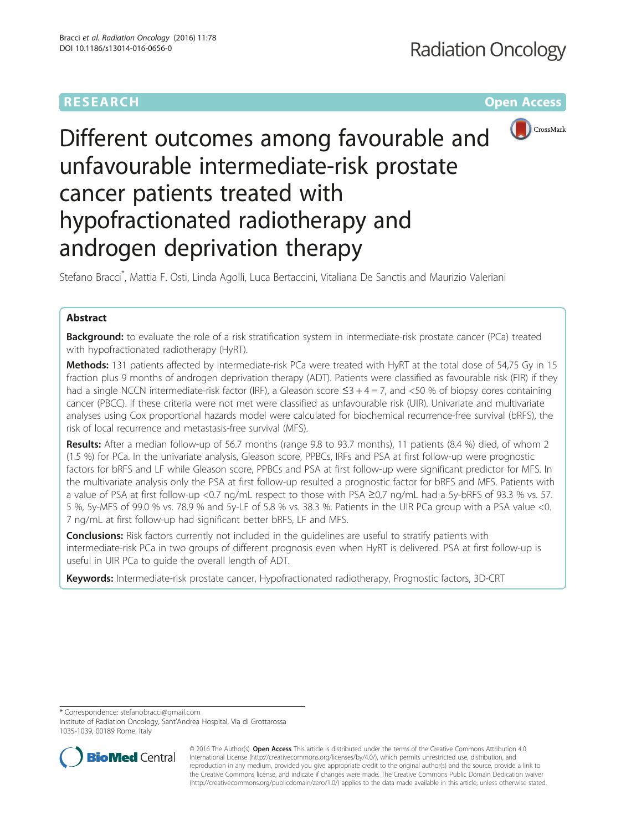# **RESEARCH CHEAR CHEAR CHEAR CHEAR CHEAR CHEAR CHEAR CHEAR CHEAR CHEAR CHEAR CHEAR CHEAR CHEAR CHEAR CHEAR CHEAR**



# Different outcomes among favourable and unfavourable intermediate-risk prostate cancer patients treated with hypofractionated radiotherapy and androgen deprivation therapy

Stefano Bracci\* , Mattia F. Osti, Linda Agolli, Luca Bertaccini, Vitaliana De Sanctis and Maurizio Valeriani

# Abstract

Background: to evaluate the role of a risk stratification system in intermediate-risk prostate cancer (PCa) treated with hypofractionated radiotherapy (HyRT).

Methods: 131 patients affected by intermediate-risk PCa were treated with HyRT at the total dose of 54,75 Gy in 15 fraction plus 9 months of androgen deprivation therapy (ADT). Patients were classified as favourable risk (FIR) if they had a single NCCN intermediate-risk factor (IRF), a Gleason score  $\leq 3 + 4 = 7$ , and  $\lt 50$  % of biopsy cores containing cancer (PBCC). If these criteria were not met were classified as unfavourable risk (UIR). Univariate and multivariate analyses using Cox proportional hazards model were calculated for biochemical recurrence-free survival (bRFS), the risk of local recurrence and metastasis-free survival (MFS).

Results: After a median follow-up of 56.7 months (range 9.8 to 93.7 months), 11 patients (8.4 %) died, of whom 2 (1.5 %) for PCa. In the univariate analysis, Gleason score, PPBCs, IRFs and PSA at first follow-up were prognostic factors for bRFS and LF while Gleason score, PPBCs and PSA at first follow-up were significant predictor for MFS. In the multivariate analysis only the PSA at first follow-up resulted a prognostic factor for bRFS and MFS. Patients with a value of PSA at first follow-up <0.7 ng/mL respect to those with PSA ≥0,7 ng/mL had a 5y-bRFS of 93.3 % vs. 57. 5 %, 5y-MFS of 99.0 % vs. 78.9 % and 5y-LF of 5.8 % vs. 38.3 %. Patients in the UIR PCa group with a PSA value <0. 7 ng/mL at first follow-up had significant better bRFS, LF and MFS.

**Conclusions:** Risk factors currently not included in the quidelines are useful to stratify patients with intermediate-risk PCa in two groups of different prognosis even when HyRT is delivered. PSA at first follow-up is useful in UIR PCa to guide the overall length of ADT.

Keywords: Intermediate-risk prostate cancer, Hypofractionated radiotherapy, Prognostic factors, 3D-CRT

\* Correspondence: [stefanobracci@gmail.com](mailto:stefanobracci@gmail.com)

Institute of Radiation Oncology, Sant'Andrea Hospital, Via di Grottarossa 1035-1039, 00189 Rome, Italy



© 2016 The Author(s). Open Access This article is distributed under the terms of the Creative Commons Attribution 4.0 International License [\(http://creativecommons.org/licenses/by/4.0/](http://creativecommons.org/licenses/by/4.0/)), which permits unrestricted use, distribution, and reproduction in any medium, provided you give appropriate credit to the original author(s) and the source, provide a link to the Creative Commons license, and indicate if changes were made. The Creative Commons Public Domain Dedication waiver [\(http://creativecommons.org/publicdomain/zero/1.0/](http://creativecommons.org/publicdomain/zero/1.0/)) applies to the data made available in this article, unless otherwise stated.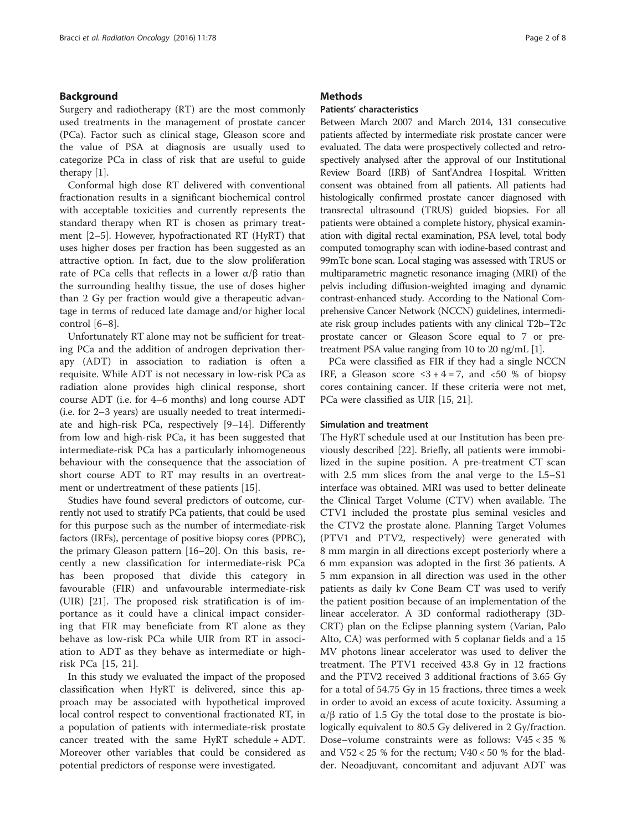#### Background

Surgery and radiotherapy (RT) are the most commonly used treatments in the management of prostate cancer (PCa). Factor such as clinical stage, Gleason score and the value of PSA at diagnosis are usually used to categorize PCa in class of risk that are useful to guide therapy [\[1](#page-6-0)].

Conformal high dose RT delivered with conventional fractionation results in a significant biochemical control with acceptable toxicities and currently represents the standard therapy when RT is chosen as primary treatment [[2](#page-6-0)–[5\]](#page-6-0). However, hypofractionated RT (HyRT) that uses higher doses per fraction has been suggested as an attractive option. In fact, due to the slow proliferation rate of PCa cells that reflects in a lower  $\alpha/\beta$  ratio than the surrounding healthy tissue, the use of doses higher than 2 Gy per fraction would give a therapeutic advantage in terms of reduced late damage and/or higher local control [\[6](#page-6-0)–[8\]](#page-6-0).

Unfortunately RT alone may not be sufficient for treating PCa and the addition of androgen deprivation therapy (ADT) in association to radiation is often a requisite. While ADT is not necessary in low-risk PCa as radiation alone provides high clinical response, short course ADT (i.e. for 4–6 months) and long course ADT (i.e. for 2–3 years) are usually needed to treat intermediate and high-risk PCa, respectively [[9](#page-6-0)–[14\]](#page-6-0). Differently from low and high-risk PCa, it has been suggested that intermediate-risk PCa has a particularly inhomogeneous behaviour with the consequence that the association of short course ADT to RT may results in an overtreatment or undertreatment of these patients [[15\]](#page-6-0).

Studies have found several predictors of outcome, currently not used to stratify PCa patients, that could be used for this purpose such as the number of intermediate-risk factors (IRFs), percentage of positive biopsy cores (PPBC), the primary Gleason pattern [\[16](#page-6-0)–[20](#page-7-0)]. On this basis, recently a new classification for intermediate-risk PCa has been proposed that divide this category in favourable (FIR) and unfavourable intermediate-risk (UIR) [\[21](#page-7-0)]. The proposed risk stratification is of importance as it could have a clinical impact considering that FIR may beneficiate from RT alone as they behave as low-risk PCa while UIR from RT in association to ADT as they behave as intermediate or highrisk PCa [[15](#page-6-0), [21](#page-7-0)].

In this study we evaluated the impact of the proposed classification when HyRT is delivered, since this approach may be associated with hypothetical improved local control respect to conventional fractionated RT, in a population of patients with intermediate-risk prostate cancer treated with the same HyRT schedule + ADT. Moreover other variables that could be considered as potential predictors of response were investigated.

#### **Methods**

### Patients' characteristics

Between March 2007 and March 2014, 131 consecutive patients affected by intermediate risk prostate cancer were evaluated. The data were prospectively collected and retrospectively analysed after the approval of our Institutional Review Board (IRB) of Sant'Andrea Hospital. Written consent was obtained from all patients. All patients had histologically confirmed prostate cancer diagnosed with transrectal ultrasound (TRUS) guided biopsies. For all patients were obtained a complete history, physical examination with digital rectal examination, PSA level, total body computed tomography scan with iodine-based contrast and 99mTc bone scan. Local staging was assessed with TRUS or multiparametric magnetic resonance imaging (MRI) of the pelvis including diffusion-weighted imaging and dynamic contrast-enhanced study. According to the National Comprehensive Cancer Network (NCCN) guidelines, intermediate risk group includes patients with any clinical T2b–T2c prostate cancer or Gleason Score equal to 7 or pretreatment PSA value ranging from 10 to 20 ng/mL [\[1](#page-6-0)].

PCa were classified as FIR if they had a single NCCN IRF, a Gleason score  $\leq 3 + 4 = 7$ , and  $\lt 50$  % of biopsy cores containing cancer. If these criteria were not met, PCa were classified as UIR [\[15,](#page-6-0) [21\]](#page-7-0).

#### Simulation and treatment

The HyRT schedule used at our Institution has been previously described [[22\]](#page-7-0). Briefly, all patients were immobilized in the supine position. A pre-treatment CT scan with 2.5 mm slices from the anal verge to the L5–S1 interface was obtained. MRI was used to better delineate the Clinical Target Volume (CTV) when available. The CTV1 included the prostate plus seminal vesicles and the CTV2 the prostate alone. Planning Target Volumes (PTV1 and PTV2, respectively) were generated with 8 mm margin in all directions except posteriorly where a 6 mm expansion was adopted in the first 36 patients. A 5 mm expansion in all direction was used in the other patients as daily kv Cone Beam CT was used to verify the patient position because of an implementation of the linear accelerator. A 3D conformal radiotherapy (3D-CRT) plan on the Eclipse planning system (Varian, Palo Alto, CA) was performed with 5 coplanar fields and a 15 MV photons linear accelerator was used to deliver the treatment. The PTV1 received 43.8 Gy in 12 fractions and the PTV2 received 3 additional fractions of 3.65 Gy for a total of 54.75 Gy in 15 fractions, three times a week in order to avoid an excess of acute toxicity. Assuming a α/β ratio of 1.5 Gy the total dose to the prostate is biologically equivalent to 80.5 Gy delivered in 2 Gy/fraction. Dose–volume constraints were as follows: V45 < 35 % and  $V52 < 25$  % for the rectum;  $V40 < 50$  % for the bladder. Neoadjuvant, concomitant and adjuvant ADT was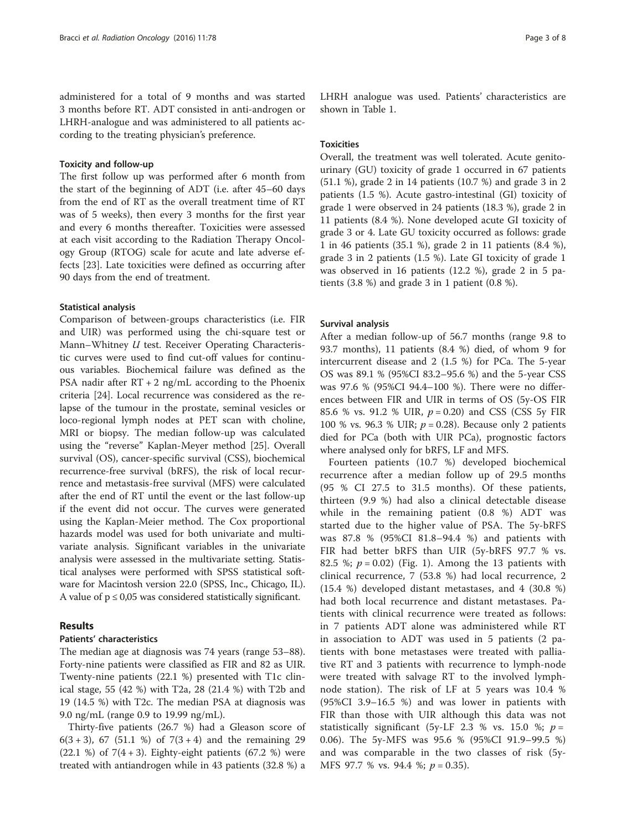administered for a total of 9 months and was started 3 months before RT. ADT consisted in anti-androgen or LHRH-analogue and was administered to all patients according to the treating physician's preference.

#### Toxicity and follow-up

The first follow up was performed after 6 month from the start of the beginning of ADT (i.e. after 45–60 days from the end of RT as the overall treatment time of RT was of 5 weeks), then every 3 months for the first year and every 6 months thereafter. Toxicities were assessed at each visit according to the Radiation Therapy Oncology Group (RTOG) scale for acute and late adverse effects [\[23\]](#page-7-0). Late toxicities were defined as occurring after 90 days from the end of treatment.

#### Statistical analysis

Comparison of between-groups characteristics (i.e. FIR and UIR) was performed using the chi-square test or Mann–Whitney U test. Receiver Operating Characteristic curves were used to find cut-off values for continuous variables. Biochemical failure was defined as the PSA nadir after RT + 2 ng/mL according to the Phoenix criteria [\[24](#page-7-0)]. Local recurrence was considered as the relapse of the tumour in the prostate, seminal vesicles or loco-regional lymph nodes at PET scan with choline, MRI or biopsy. The median follow-up was calculated using the "reverse" Kaplan-Meyer method [\[25](#page-7-0)]. Overall survival (OS), cancer-specific survival (CSS), biochemical recurrence-free survival (bRFS), the risk of local recurrence and metastasis-free survival (MFS) were calculated after the end of RT until the event or the last follow-up if the event did not occur. The curves were generated using the Kaplan-Meier method. The Cox proportional hazards model was used for both univariate and multivariate analysis. Significant variables in the univariate analysis were assessed in the multivariate setting. Statistical analyses were performed with SPSS statistical software for Macintosh version 22.0 (SPSS, Inc., Chicago, IL). A value of  $p \leq 0.05$  was considered statistically significant.

#### Results

#### Patients' characteristics

The median age at diagnosis was 74 years (range 53–88). Forty-nine patients were classified as FIR and 82 as UIR. Twenty-nine patients (22.1 %) presented with T1c clinical stage, 55 (42 %) with T2a, 28 (21.4 %) with T2b and 19 (14.5 %) with T2c. The median PSA at diagnosis was 9.0 ng/mL (range 0.9 to 19.99 ng/mL).

Thirty-five patients (26.7 %) had a Gleason score of 6(3 + 3), 67 (51.1 %) of  $7(3 + 4)$  and the remaining 29 (22.1 %) of  $7(4+3)$ . Eighty-eight patients (67.2 %) were treated with antiandrogen while in 43 patients (32.8 %) a LHRH analogue was used. Patients' characteristics are shown in Table [1.](#page-3-0)

#### Toxicities

Overall, the treatment was well tolerated. Acute genitourinary (GU) toxicity of grade 1 occurred in 67 patients (51.1 %), grade 2 in 14 patients (10.7 %) and grade 3 in 2 patients (1.5 %). Acute gastro-intestinal (GI) toxicity of grade 1 were observed in 24 patients (18.3 %), grade 2 in 11 patients (8.4 %). None developed acute GI toxicity of grade 3 or 4. Late GU toxicity occurred as follows: grade 1 in 46 patients (35.1 %), grade 2 in 11 patients (8.4 %), grade 3 in 2 patients (1.5 %). Late GI toxicity of grade 1 was observed in 16 patients (12.2 %), grade 2 in 5 patients (3.8 %) and grade 3 in 1 patient (0.8 %).

#### Survival analysis

After a median follow-up of 56.7 months (range 9.8 to 93.7 months), 11 patients (8.4 %) died, of whom 9 for intercurrent disease and 2 (1.5 %) for PCa. The 5-year OS was 89.1 % (95%CI 83.2–95.6 %) and the 5-year CSS was 97.6 % (95%CI 94.4–100 %). There were no differences between FIR and UIR in terms of OS (5y-OS FIR 85.6 % vs. 91.2 % UIR,  $p = 0.20$ ) and CSS (CSS 5y FIR 100 % vs. 96.3 % UIR;  $p = 0.28$ ). Because only 2 patients died for PCa (both with UIR PCa), prognostic factors where analysed only for bRFS, LF and MFS.

Fourteen patients (10.7 %) developed biochemical recurrence after a median follow up of 29.5 months (95 % CI 27.5 to 31.5 months). Of these patients, thirteen (9.9 %) had also a clinical detectable disease while in the remaining patient (0.8 %) ADT was started due to the higher value of PSA. The 5y-bRFS was 87.8 % (95%CI 81.8–94.4 %) and patients with FIR had better bRFS than UIR (5y-bRFS 97.7 % vs. 82.5 %;  $p = 0.02$ ) (Fig. [1\)](#page-4-0). Among the 13 patients with clinical recurrence, 7 (53.8 %) had local recurrence, 2 (15.4 %) developed distant metastases, and 4 (30.8 %) had both local recurrence and distant metastases. Patients with clinical recurrence were treated as follows: in 7 patients ADT alone was administered while RT in association to ADT was used in 5 patients (2 patients with bone metastases were treated with palliative RT and 3 patients with recurrence to lymph-node were treated with salvage RT to the involved lymphnode station). The risk of LF at 5 years was 10.4 % (95%CI 3.9–16.5 %) and was lower in patients with FIR than those with UIR although this data was not statistically significant (5y-LF 2.3 % vs. 15.0 %;  $p =$ 0.06). The 5y-MFS was 95.6 % (95%CI 91.9–99.5 %) and was comparable in the two classes of risk (5y-MFS 97.7 % vs. 94.4 %;  $p = 0.35$ ).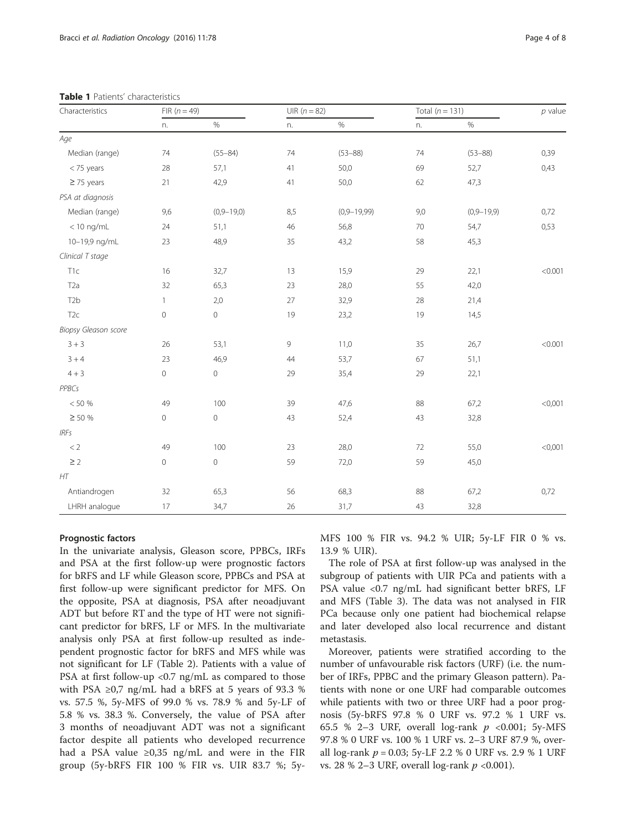| Characteristics      | FIR $(n = 49)$      |              | UIR $(n = 82)$ |               | Total $(n = 131)$ |                  | $p$ value |
|----------------------|---------------------|--------------|----------------|---------------|-------------------|------------------|-----------|
|                      | n.                  | $\%$         | n.             | $\%$          | n.                | $\%$             |           |
| Age                  |                     |              |                |               |                   |                  |           |
| Median (range)       | 74                  | $(55 - 84)$  | 74             | $(53 - 88)$   | 74                | $(53 - 88)$      | 0,39      |
| < 75 years           | 28                  | 57,1         | 41             | 50,0          | 69                | 52,7             | 0,43      |
| $\geq$ 75 years      | 21                  | 42,9         | 41             | 50,0          | 62                | 47,3             |           |
| PSA at diagnosis     |                     |              |                |               |                   |                  |           |
| Median (range)       | 9,6                 | $(0,9-19,0)$ | 8,5            | $(0,9-19,99)$ | 9,0               | $(0, 9 - 19, 9)$ | 0,72      |
| $<$ 10 ng/mL         | 24                  | 51,1         | 46             | 56,8          | 70                | 54,7             | 0,53      |
| 10-19,9 ng/mL        | 23                  | 48,9         | 35             | 43,2          | 58                | 45,3             |           |
| Clinical T stage     |                     |              |                |               |                   |                  |           |
| T1c                  | 16                  | 32,7         | 13             | 15,9          | 29                | 22,1             | < 0.001   |
| T <sub>2</sub> a     | 32                  | 65,3         | 23             | 28,0          | 55                | 42,0             |           |
| T <sub>2</sub> b     | $\mathbf{1}$        | 2,0          | 27             | 32,9          | 28                | 21,4             |           |
| T <sub>2c</sub>      | $\circ$             | $\circ$      | 19             | 23,2          | 19                | 14,5             |           |
| Biopsy Gleason score |                     |              |                |               |                   |                  |           |
| $3 + 3$              | 26                  | 53,1         | 9              | 11,0          | 35                | 26,7             | < 0.001   |
| $3 + 4$              | 23                  | 46,9         | 44             | 53,7          | 67                | 51,1             |           |
| $4 + 3$              | $\mathsf{O}\xspace$ | $\mathbf 0$  | 29             | 35,4          | 29                | 22,1             |           |
| PPBCs                |                     |              |                |               |                   |                  |           |
| $< 50 \%$            | 49                  | 100          | 39             | 47,6          | 88                | 67,2             | < 0,001   |
| $\geq$ 50 %          | $\mathbb O$         | $\mathbf 0$  | 43             | 52,4          | 43                | 32,8             |           |
| IRFs                 |                     |              |                |               |                   |                  |           |
| < 2                  | 49                  | 100          | 23             | 28,0          | 72                | 55,0             | < 0,001   |
| $\geq$ 2             | $\circ$             | $\mathbf 0$  | 59             | 72,0          | 59                | 45,0             |           |
| HT                   |                     |              |                |               |                   |                  |           |
| Antiandrogen         | 32                  | 65,3         | 56             | 68,3          | 88                | 67,2             | 0,72      |
| LHRH analogue        | 17                  | 34,7         | 26             | 31,7          | 43                | 32,8             |           |

<span id="page-3-0"></span>Table 1 Patients' characteristics

#### Prognostic factors

In the univariate analysis, Gleason score, PPBCs, IRFs and PSA at the first follow-up were prognostic factors for bRFS and LF while Gleason score, PPBCs and PSA at first follow-up were significant predictor for MFS. On the opposite, PSA at diagnosis, PSA after neoadjuvant ADT but before RT and the type of HT were not significant predictor for bRFS, LF or MFS. In the multivariate analysis only PSA at first follow-up resulted as independent prognostic factor for bRFS and MFS while was not significant for LF (Table [2](#page-5-0)). Patients with a value of PSA at first follow-up  $\langle 0.7 \text{ ng/mL}$  as compared to those with PSA  $\geq$ 0,7 ng/mL had a bRFS at 5 years of 93.3 % vs. 57.5 %, 5y-MFS of 99.0 % vs. 78.9 % and 5y-LF of 5.8 % vs. 38.3 %. Conversely, the value of PSA after 3 months of neoadjuvant ADT was not a significant factor despite all patients who developed recurrence had a PSA value  $\geq 0.35$  ng/mL and were in the FIR group (5y-bRFS FIR 100 % FIR vs. UIR 83.7 %; 5yMFS 100 % FIR vs. 94.2 % UIR; 5y-LF FIR 0 % vs. 13.9 % UIR).

The role of PSA at first follow-up was analysed in the subgroup of patients with UIR PCa and patients with a PSA value <0.7 ng/mL had significant better bRFS, LF and MFS (Table [3\)](#page-5-0). The data was not analysed in FIR PCa because only one patient had biochemical relapse and later developed also local recurrence and distant metastasis.

Moreover, patients were stratified according to the number of unfavourable risk factors (URF) (i.e. the number of IRFs, PPBC and the primary Gleason pattern). Patients with none or one URF had comparable outcomes while patients with two or three URF had a poor prognosis (5y-bRFS 97.8 % 0 URF vs. 97.2 % 1 URF vs. 65.5 % 2–3 URF, overall log-rank  $p \le 0.001$ ; 5y-MFS 97.8 % 0 URF vs. 100 % 1 URF vs. 2–3 URF 87.9 %, overall log-rank  $p = 0.03$ ; 5y-LF 2.2 % 0 URF vs. 2.9 % 1 URF vs. 28 % 2–3 URF, overall log-rank  $p \le 0.001$ ).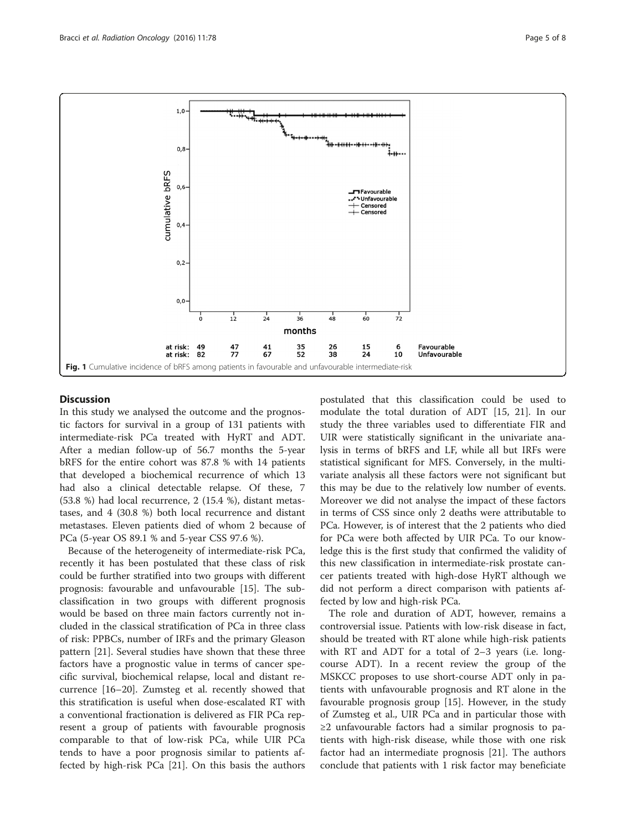<span id="page-4-0"></span>

#### **Discussion**

In this study we analysed the outcome and the prognostic factors for survival in a group of 131 patients with intermediate-risk PCa treated with HyRT and ADT. After a median follow-up of 56.7 months the 5-year bRFS for the entire cohort was 87.8 % with 14 patients that developed a biochemical recurrence of which 13 had also a clinical detectable relapse. Of these, 7 (53.8 %) had local recurrence, 2 (15.4 %), distant metastases, and 4 (30.8 %) both local recurrence and distant metastases. Eleven patients died of whom 2 because of PCa (5-year OS 89.1 % and 5-year CSS 97.6 %).

Because of the heterogeneity of intermediate-risk PCa, recently it has been postulated that these class of risk could be further stratified into two groups with different prognosis: favourable and unfavourable [[15](#page-6-0)]. The subclassification in two groups with different prognosis would be based on three main factors currently not included in the classical stratification of PCa in three class of risk: PPBCs, number of IRFs and the primary Gleason pattern [[21](#page-7-0)]. Several studies have shown that these three factors have a prognostic value in terms of cancer specific survival, biochemical relapse, local and distant recurrence [\[16](#page-6-0)–[20\]](#page-7-0). Zumsteg et al. recently showed that this stratification is useful when dose-escalated RT with a conventional fractionation is delivered as FIR PCa represent a group of patients with favourable prognosis comparable to that of low-risk PCa, while UIR PCa tends to have a poor prognosis similar to patients affected by high-risk PCa [[21](#page-7-0)]. On this basis the authors postulated that this classification could be used to modulate the total duration of ADT [[15,](#page-6-0) [21\]](#page-7-0). In our study the three variables used to differentiate FIR and UIR were statistically significant in the univariate analysis in terms of bRFS and LF, while all but IRFs were statistical significant for MFS. Conversely, in the multivariate analysis all these factors were not significant but this may be due to the relatively low number of events. Moreover we did not analyse the impact of these factors in terms of CSS since only 2 deaths were attributable to PCa. However, is of interest that the 2 patients who died for PCa were both affected by UIR PCa. To our knowledge this is the first study that confirmed the validity of this new classification in intermediate-risk prostate cancer patients treated with high-dose HyRT although we did not perform a direct comparison with patients affected by low and high-risk PCa.

The role and duration of ADT, however, remains a controversial issue. Patients with low-risk disease in fact, should be treated with RT alone while high-risk patients with RT and ADT for a total of 2–3 years (i.e. longcourse ADT). In a recent review the group of the MSKCC proposes to use short-course ADT only in patients with unfavourable prognosis and RT alone in the favourable prognosis group [[15\]](#page-6-0). However, in the study of Zumsteg et al., UIR PCa and in particular those with ≥2 unfavourable factors had a similar prognosis to patients with high-risk disease, while those with one risk factor had an intermediate prognosis [\[21\]](#page-7-0). The authors conclude that patients with 1 risk factor may beneficiate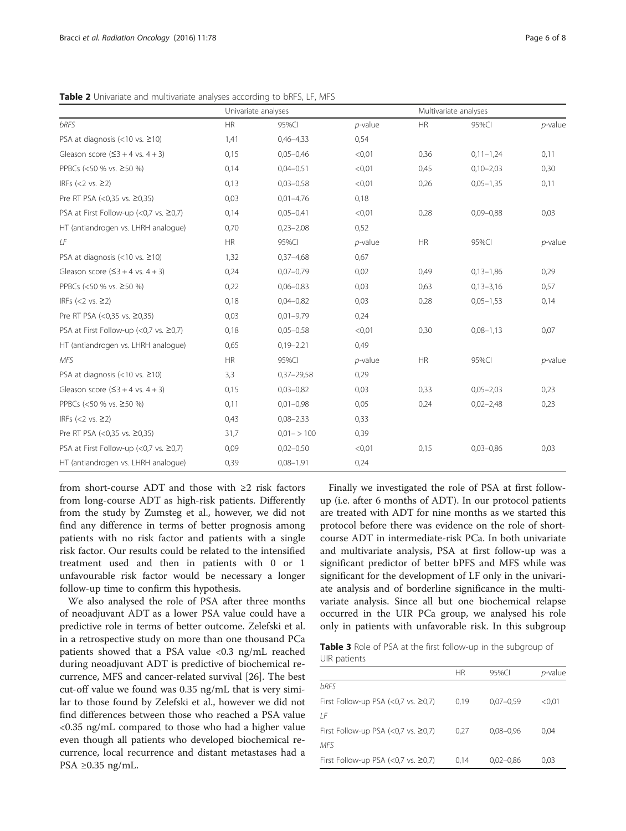<span id="page-5-0"></span>Table 2 Univariate and multivariate analyses according to bRFS, LF, MFS

|                                             | Univariate analyses |                |            | Multivariate analyses |               |            |
|---------------------------------------------|---------------------|----------------|------------|-----------------------|---------------|------------|
| <b>bRFS</b>                                 | <b>HR</b>           | 95%CI          | $p$ -value | <b>HR</b>             | 95%CI         | $p$ -value |
| PSA at diagnosis $(<10$ vs. $\geq$ 10)      | 1,41                | $0,46 - 4,33$  | 0,54       |                       |               |            |
| Gleason score $(53 + 4 \text{ vs. } 4 + 3)$ | 0,15                | $0,05 - 0,46$  | < 0.01     | 0,36                  | $0,11-1,24$   | 0,11       |
| PPBCs (<50 % vs. ≥50 %)                     | 0,14                | $0.04 - 0.51$  | < 0.01     | 0,45                  | $0,10 - 2,03$ | 0,30       |
| IRFs $(< 2$ vs. $\geq 2)$                   | 0,13                | $0,03 - 0,58$  | < 0.01     | 0,26                  | $0,05 - 1,35$ | 0,11       |
| Pre RT PSA (<0,35 vs. ≥0,35)                | 0,03                | $0,01-4,76$    | 0,18       |                       |               |            |
| PSA at First Follow-up (<0,7 vs. ≥0,7)      | 0,14                | $0,05 - 0,41$  | < 0.01     | 0,28                  | $0,09 - 0,88$ | 0,03       |
| HT (antiandrogen vs. LHRH analogue)         | 0,70                | $0,23 - 2,08$  | 0,52       |                       |               |            |
| LF                                          | <b>HR</b>           | 95%CI          | $p$ -value | <b>HR</b>             | 95%CI         | $p$ -value |
| PSA at diagnosis $(<10$ vs. $\geq$ 10)      | 1,32                | $0,37-4,68$    | 0,67       |                       |               |            |
| Gleason score $(53 + 4 \text{ vs. } 4 + 3)$ | 0,24                | $0,07 - 0,79$  | 0,02       | 0,49                  | $0,13-1,86$   | 0,29       |
| PPBCs (<50 % vs. ≥50 %)                     | 0,22                | $0,06 - 0,83$  | 0,03       | 0,63                  | $0,13 - 3,16$ | 0,57       |
| IRFs $(< 2$ vs. $\geq 2)$                   | 0,18                | $0,04 - 0,82$  | 0,03       | 0,28                  | $0,05 - 1,53$ | 0,14       |
| Pre RT PSA (<0,35 vs. ≥0,35)                | 0,03                | $0,01-9,79$    | 0,24       |                       |               |            |
| PSA at First Follow-up (<0,7 vs. ≥0,7)      | 0,18                | $0,05 - 0,58$  | < 0.01     | 0,30                  | $0,08 - 1,13$ | 0,07       |
| HT (antiandrogen vs. LHRH analogue)         | 0,65                | $0,19 - 2,21$  | 0,49       |                       |               |            |
| <b>MFS</b>                                  | <b>HR</b>           | 95%CI          | $p$ -value | <b>HR</b>             | 95%CI         | $p$ -value |
| PSA at diagnosis $(<10$ vs. $\geq 10$ )     | 3,3                 | $0,37 - 29,58$ | 0,29       |                       |               |            |
| Gleason score $(53 + 4 \text{ vs. } 4 + 3)$ | 0,15                | $0,03 - 0,82$  | 0,03       | 0,33                  | $0,05 - 2,03$ | 0,23       |
| PPBCs (<50 % vs. ≥50 %)                     | 0,11                | $0,01-0,98$    | 0,05       | 0,24                  | $0,02 - 2,48$ | 0,23       |
| IRFs $(< 2$ vs. $\geq 2)$                   | 0,43                | $0,08 - 2,33$  | 0,33       |                       |               |            |
| Pre RT PSA (<0,35 vs. ≥0,35)                | 31,7                | $0.01 - 100$   | 0,39       |                       |               |            |
| PSA at First Follow-up (<0,7 vs. ≥0,7)      | 0,09                | $0,02-0,50$    | < 0.01     | 0,15                  | $0,03 - 0,86$ | 0,03       |
| HT (antiandrogen vs. LHRH analogue)         | 0,39                | $0,08 - 1,91$  | 0,24       |                       |               |            |

from short-course ADT and those with ≥2 risk factors from long-course ADT as high-risk patients. Differently from the study by Zumsteg et al., however, we did not find any difference in terms of better prognosis among patients with no risk factor and patients with a single risk factor. Our results could be related to the intensified treatment used and then in patients with 0 or 1 unfavourable risk factor would be necessary a longer follow-up time to confirm this hypothesis.

We also analysed the role of PSA after three months of neoadjuvant ADT as a lower PSA value could have a predictive role in terms of better outcome. Zelefski et al. in a retrospective study on more than one thousand PCa patients showed that a PSA value <0.3 ng/mL reached during neoadjuvant ADT is predictive of biochemical recurrence, MFS and cancer-related survival [[26\]](#page-7-0). The best cut-off value we found was 0.35 ng/mL that is very similar to those found by Zelefski et al., however we did not find differences between those who reached a PSA value <0.35 ng/mL compared to those who had a higher value even though all patients who developed biochemical recurrence, local recurrence and distant metastases had a PSA ≥0.35 ng/mL.

Finally we investigated the role of PSA at first followup (i.e. after 6 months of ADT). In our protocol patients are treated with ADT for nine months as we started this protocol before there was evidence on the role of shortcourse ADT in intermediate-risk PCa. In both univariate and multivariate analysis, PSA at first follow-up was a significant predictor of better bPFS and MFS while was significant for the development of LF only in the univariate analysis and of borderline significance in the multivariate analysis. Since all but one biochemical relapse occurred in the UIR PCa group, we analysed his role only in patients with unfavorable risk. In this subgroup

Table 3 Role of PSA at the first follow-up in the subgroup of UIR patients

|                                              | ΗR   | 95%CI         | <i>p</i> -value |
|----------------------------------------------|------|---------------|-----------------|
| <b>bRFS</b>                                  |      |               |                 |
| First Follow-up PSA $(<0,7$ vs. $\geq 0,7$ ) | 0.19 | $0.07 - 0.59$ | < 0.01          |
| IF                                           |      |               |                 |
| First Follow-up PSA $(<0,7$ vs. $\geq 0,7$ ) | 0.27 | $0,08 - 0,96$ | 0.04            |
| <b>MFS</b>                                   |      |               |                 |
| First Follow-up PSA (<0,7 vs. $\geq$ 0,7)    | 0.14 | $0,02-0,86$   | 0,03            |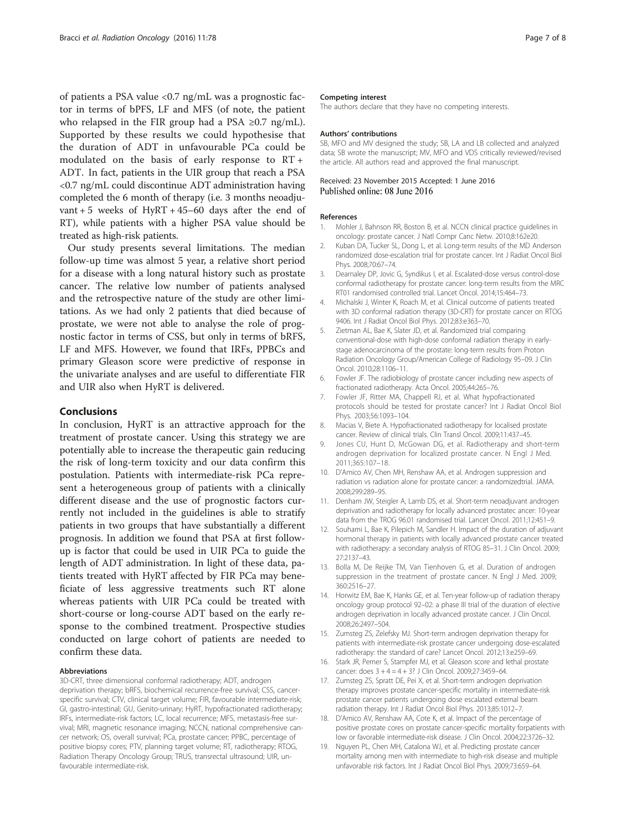<span id="page-6-0"></span>of patients a PSA value <0.7 ng/mL was a prognostic factor in terms of bPFS, LF and MFS (of note, the patient who relapsed in the FIR group had a PSA  $\geq 0.7$  ng/mL). Supported by these results we could hypothesise that the duration of ADT in unfavourable PCa could be modulated on the basis of early response to RT + ADT. In fact, patients in the UIR group that reach a PSA <0.7 ng/mL could discontinue ADT administration having completed the 6 month of therapy (i.e. 3 months neoadjuvant + 5 weeks of HyRT +  $45-60$  days after the end of RT), while patients with a higher PSA value should be treated as high-risk patients.

Our study presents several limitations. The median follow-up time was almost 5 year, a relative short period for a disease with a long natural history such as prostate cancer. The relative low number of patients analysed and the retrospective nature of the study are other limitations. As we had only 2 patients that died because of prostate, we were not able to analyse the role of prognostic factor in terms of CSS, but only in terms of bRFS, LF and MFS. However, we found that IRFs, PPBCs and primary Gleason score were predictive of response in the univariate analyses and are useful to differentiate FIR and UIR also when HyRT is delivered.

#### Conclusions

In conclusion, HyRT is an attractive approach for the treatment of prostate cancer. Using this strategy we are potentially able to increase the therapeutic gain reducing the risk of long-term toxicity and our data confirm this postulation. Patients with intermediate-risk PCa represent a heterogeneous group of patients with a clinically different disease and the use of prognostic factors currently not included in the guidelines is able to stratify patients in two groups that have substantially a different prognosis. In addition we found that PSA at first followup is factor that could be used in UIR PCa to guide the length of ADT administration. In light of these data, patients treated with HyRT affected by FIR PCa may beneficiate of less aggressive treatments such RT alone whereas patients with UIR PCa could be treated with short-course or long-course ADT based on the early response to the combined treatment. Prospective studies conducted on large cohort of patients are needed to confirm these data.

#### Abbreviations

3D-CRT, three dimensional conformal radiotherapy; ADT, androgen deprivation therapy; bRFS, biochemical recurrence-free survival; CSS, cancerspecific survival; CTV, clinical target volume; FIR, favourable intermediate-risk; GI, gastro-intestinal; GU, Genito-urinary; HyRT, hypofractionated radiotherapy; IRFs, intermediate-risk factors; LC, local recurrence; MFS, metastasis-free survival; MRI, magnetic resonance imaging; NCCN, national comprehensive cancer network; OS, overall survival; PCa, prostate cancer; PPBC, percentage of positive biopsy cores; PTV, planning target volume; RT, radiotherapy; RTOG, Radiation Therapy Oncology Group; TRUS, transrectal ultrasound; UIR, unfavourable intermediate-risk.

#### Competing interest

The authors declare that they have no competing interests.

#### Authors' contributions

SB, MFO and MV designed the study; SB, LA and LB collected and analyzed data; SB wrote the manuscript; MV, MFO and VDS critically reviewed/revised the article. All authors read and approved the final manuscript.

#### Received: 23 November 2015 Accepted: 1 June 2016 Published online: 08 June 2016

#### References

- 1. Mohler J, Bahnson RR, Boston B, et al. NCCN clinical practice guidelines in oncology: prostate cancer. J Natl Compr Canc Netw. 2010;8:162e20.
- 2. Kuban DA, Tucker SL, Dong L, et al. Long-term results of the MD Anderson randomized dose-escalation trial for prostate cancer. Int J Radiat Oncol Biol Phys. 2008;70:67–74.
- 3. Dearnaley DP, Jovic G, Syndikus I, et al. Escalated-dose versus control-dose conformal radiotherapy for prostate cancer: long-term results from the MRC RT01 randomised controlled trial. Lancet Oncol. 2014;15:464–73.
- 4. Michalski J, Winter K, Roach M, et al. Clinical outcome of patients treated with 3D conformal radiation therapy (3D-CRT) for prostate cancer on RTOG 9406. Int J Radiat Oncol Biol Phys. 2012;83:e363–70.
- 5. Zietman AL, Bae K, Slater JD, et al. Randomized trial comparing conventional-dose with high-dose conformal radiation therapy in earlystage adenocarcinoma of the prostate: long-term results from Proton Radiation Oncology Group/American College of Radiology 95–09. J Clin Oncol. 2010;28:1106–11.
- 6. Fowler JF. The radiobiology of prostate cancer including new aspects of fractionated radiotherapy. Acta Oncol. 2005;44:265–76.
- 7. Fowler JF, Ritter MA, Chappell RJ, et al. What hypofractionated protocols should be tested for prostate cancer? Int J Radiat Oncol Biol Phys. 2003;56:1093–104.
- 8. Macias V, Biete A. Hypofractionated radiotherapy for localised prostate cancer. Review of clinical trials. Clin Transl Oncol. 2009;11:437–45.
- 9. Jones CU, Hunt D, McGowan DG, et al. Radiotherapy and short-term androgen deprivation for localized prostate cancer. N Engl J Med. 2011;365:107–18.
- 10. D'Amico AV, Chen MH, Renshaw AA, et al. Androgen suppression and radiation vs radiation alone for prostate cancer: a randomizedtrial. JAMA. 2008;299:289–95.
- 11. Denham JW, Steigler A, Lamb DS, et al. Short-term neoadjuvant androgen deprivation and radiotherapy for locally advanced prostatec ancer: 10-year data from the TROG 96.01 randomised trial. Lancet Oncol. 2011;12:451–9.
- 12. Souhami L, Bae K, Pilepich M, Sandler H. Impact of the duration of adjuvant hormonal therapy in patients with locally advanced prostate cancer treated with radiotherapy: a secondary analysis of RTOG 85–31. J Clin Oncol. 2009; 27:2137–43.
- 13. Bolla M, De Reijke TM, Van Tienhoven G, et al. Duration of androgen suppression in the treatment of prostate cancer. N Engl J Med. 2009; 360:2516–27.
- 14. Horwitz EM, Bae K, Hanks GE, et al. Ten-year follow-up of radiation therapy oncology group protocol 92–02: a phase III trial of the duration of elective androgen deprivation in locally advanced prostate cancer. J Clin Oncol. 2008;26:2497–504.
- 15. Zumsteg ZS, Zelefsky MJ. Short-term androgen deprivation therapy for patients with intermediate-risk prostate cancer undergoing dose-escalated radiotherapy: the standard of care? Lancet Oncol. 2012;13:e259–69.
- 16. Stark JR, Perner S, Stampfer MJ, et al. Gleason score and lethal prostate cancer: does 3 + 4 = 4 + 3? J Clin Oncol. 2009;27:3459–64.
- 17. Zumsteg ZS, Spratt DE, Pei X, et al. Short-term androgen deprivation therapy improves prostate cancer-specific mortality in intermediate-risk prostate cancer patients undergoing dose escalated external beam radiation therapy. Int J Radiat Oncol Biol Phys. 2013;85:1012–7.
- 18. D'Amico AV, Renshaw AA, Cote K, et al. Impact of the percentage of positive prostate cores on prostate cancer-specific mortality forpatients with low or favorable intermediate-risk disease. J Clin Oncol. 2004;22:3726–32.
- 19. Nguyen PL, Chen MH, Catalona WJ, et al. Predicting prostate cancer mortality among men with intermediate to high-risk disease and multiple unfavorable risk factors. Int J Radiat Oncol Biol Phys. 2009;73:659–64.